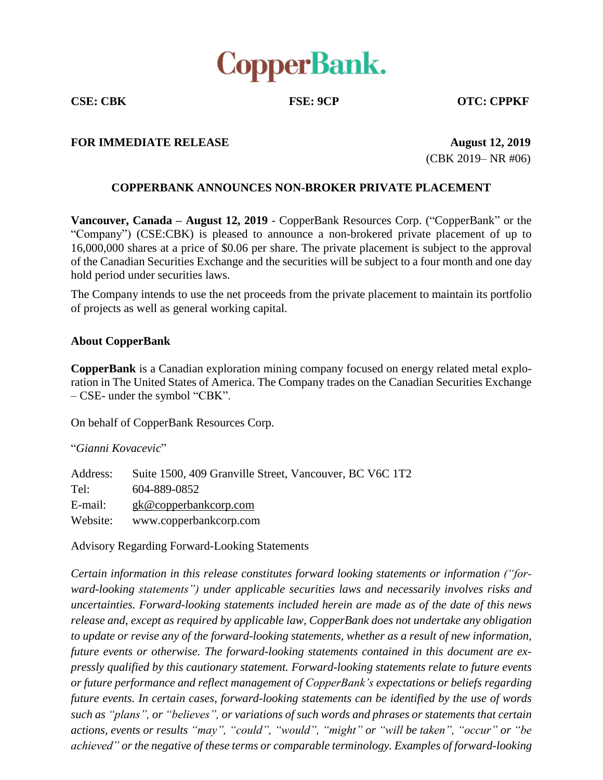

**CSE: CBK FSE: 9CP OTC: CPPKF**

## **FOR IMMEDIATE RELEASE August 12, 2019**

(CBK 2019– NR #06)

## **COPPERBANK ANNOUNCES NON-BROKER PRIVATE PLACEMENT**

**Vancouver, Canada – August 12, 2019** - CopperBank Resources Corp. ("CopperBank" or the "Company") (CSE:CBK) is pleased to announce a non-brokered private placement of up to 16,000,000 shares at a price of \$0.06 per share. The private placement is subject to the approval of the Canadian Securities Exchange and the securities will be subject to a four month and one day hold period under securities laws.

The Company intends to use the net proceeds from the private placement to maintain its portfolio of projects as well as general working capital.

## **About CopperBank**

**CopperBank** is a Canadian exploration mining company focused on energy related metal exploration in The United States of America. The Company trades on the Canadian Securities Exchange – CSE- under the symbol "CBK".

On behalf of CopperBank Resources Corp.

"*Gianni Kovacevic*"

| Address: | Suite 1500, 409 Granville Street, Vancouver, BC V6C 1T2 |
|----------|---------------------------------------------------------|
| Tel:     | 604-889-0852                                            |
| E-mail:  | gk@copperbankcorp.com                                   |
| Website: | www.copperbankcorp.com                                  |

Advisory Regarding Forward-Looking Statements

*Certain information in this release constitutes forward looking statements or information ("forward-looking statements") under applicable securities laws and necessarily involves risks and uncertainties. Forward-looking statements included herein are made as of the date of this news release and, except as required by applicable law, CopperBank does not undertake any obligation to update or revise any of the forward-looking statements, whether as a result of new information, future events or otherwise. The forward-looking statements contained in this document are expressly qualified by this cautionary statement. Forward-looking statements relate to future events or future performance and reflect management of CopperBank's expectations or beliefs regarding future events. In certain cases, forward-looking statements can be identified by the use of words such as "plans", or "believes", or variations of such words and phrases or statements that certain actions, events or results "may", "could", "would", "might" or "will be taken", "occur" or "be achieved" or the negative of these terms or comparable terminology. Examples of forward-looking*